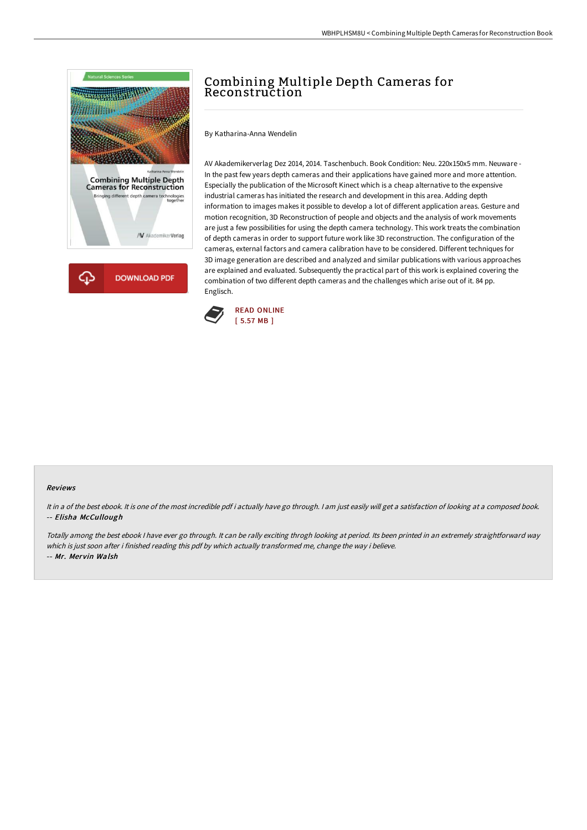

## Combining Multiple Depth Cameras for Reconstruction

By Katharina-Anna Wendelin

AV Akademikerverlag Dez 2014, 2014. Taschenbuch. Book Condition: Neu. 220x150x5 mm. Neuware - In the past few years depth cameras and their applications have gained more and more attention. Especially the publication of the Microsoft Kinect which is a cheap alternative to the expensive industrial cameras has initiated the research and development in this area. Adding depth information to images makes it possible to develop a lot of different application areas. Gesture and motion recognition, 3D Reconstruction of people and objects and the analysis of work movements are just a few possibilities for using the depth camera technology. This work treats the combination of depth cameras in order to support future work like 3D reconstruction. The configuration of the cameras, external factors and camera calibration have to be considered. Different techniques for 3D image generation are described and analyzed and similar publications with various approaches are explained and evaluated. Subsequently the practical part of this work is explained covering the combination of two different depth cameras and the challenges which arise out of it. 84 pp. Englisch.



## Reviews

It in a of the best ebook. It is one of the most incredible pdf i actually have go through. I am just easily will get a satisfaction of looking at a composed book. -- Elisha McCullough

Totally among the best ebook <sup>I</sup> have ever go through. It can be rally exciting throgh looking at period. Its been printed in an extremely straightforward way which is just soon after i finished reading this pdf by which actually transformed me, change the way i believe. -- Mr. Mervin Walsh